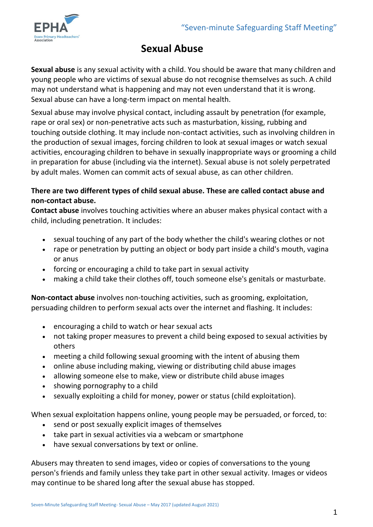

# **Sexual Abuse**

**Sexual abuse** is any sexual activity with a child. You should be aware that many children and young people who are victims of sexual abuse do not recognise themselves as such. A child may not understand what is happening and may not even understand that it is wrong. Sexual abuse can have a long-term impact on mental health.

Sexual abuse may involve physical contact, including assault by penetration (for example, rape or oral sex) or non-penetrative acts such as masturbation, kissing, rubbing and touching outside clothing. It may include non-contact activities, such as involving children in the production of sexual images, forcing children to look at sexual images or watch sexual activities, encouraging children to behave in sexually inappropriate ways or grooming a child in preparation for abuse (including via the internet). Sexual abuse is not solely perpetrated by adult males. Women can commit acts of sexual abuse, as can other children.

### **There are two different types of child sexual abuse. These are called contact abuse and non-contact abuse.**

**Contact abuse** involves touching activities where an abuser makes physical contact with a child, including penetration. It includes:

- sexual touching of any part of the body whether the child's wearing clothes or not
- rape or penetration by putting an object or body part inside a child's mouth, vagina or anus
- forcing or encouraging a child to take part in sexual activity
- making a child take their clothes off, touch someone else's genitals or masturbate.

**Non-contact abuse** involves non-touching activities, such as grooming, exploitation, persuading children to perform sexual acts over the internet and flashing. It includes:

- encouraging a child to watch or hear sexual acts
- not taking proper measures to prevent a child being exposed to sexual activities by others
- meeting a child following sexual grooming with the intent of abusing them
- online abuse including making, viewing or distributing child abuse images
- allowing someone else to make, view or distribute child abuse images
- showing pornography to a child
- sexually exploiting a child for money, power or status (child exploitation).

When sexual exploitation happens online, young people may be persuaded, or forced, to:

- send or post sexually explicit images of themselves
- take part in sexual activities via a webcam or smartphone
- have sexual conversations by text or online.

Abusers may threaten to send images, video or copies of conversations to the young person's friends and family unless they take part in other sexual activity. Images or videos may continue to be shared long after the sexual abuse has stopped.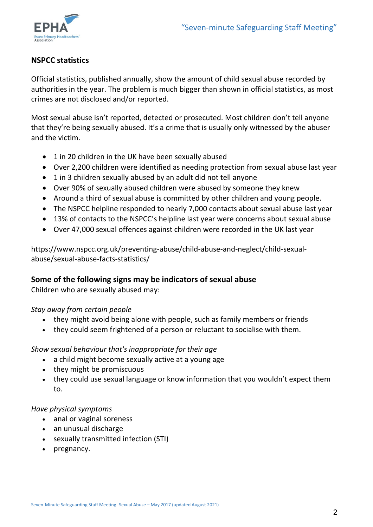

# **NSPCC statistics**

Official statistics, published annually, show the amount of child sexual abuse recorded by authorities in the year. The problem is much bigger than shown in official statistics, as most crimes are not disclosed and/or reported.

Most sexual abuse isn't reported, detected or prosecuted. Most children don't tell anyone that they're being sexually abused. It's a crime that is usually only witnessed by the abuser and the victim.

- 1 in 20 children in the UK have been sexually abused
- Over 2,200 children were identified as needing protection from sexual abuse last year
- 1 in 3 children sexually abused by an adult did not tell anyone
- Over 90% of sexually abused children were abused by someone they knew
- Around a third of sexual abuse is committed by other children and young people.
- The NSPCC helpline responded to nearly 7,000 contacts about sexual abuse last year
- 13% of contacts to the NSPCC's helpline last year were concerns about sexual abuse
- Over 47,000 sexual offences against children were recorded in the UK last year

https://www.nspcc.org.uk/preventing-abuse/child-abuse-and-neglect/child-sexualabuse/sexual-abuse-facts-statistics/

# **Some of the following signs may be indicators of sexual abuse**

Children who are sexually abused may:

# *Stay away from certain people*

- they might avoid being alone with people, such as family members or friends
- they could seem frightened of a person or reluctant to socialise with them.

# *Show sexual behaviour that's inappropriate for their age*

- a child might become sexually active at a young age
- they might be promiscuous
- they could use sexual language or know information that you wouldn't expect them to.

#### *Have physical symptoms*

- anal or vaginal soreness
- an unusual discharge
- sexually transmitted infection (STI)
- pregnancy.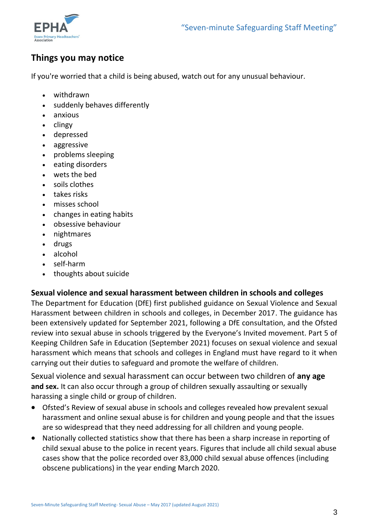

# **Things you may notice**

If you're worried that a child is being abused, watch out for any unusual behaviour.

- withdrawn
- suddenly behaves differently
- anxious
- $\bullet$  clingy
- depressed
- aggressive
- problems sleeping
- eating disorders
- wets the bed
- soils clothes
- takes risks
- misses school
- changes in eating habits
- obsessive behaviour
- nightmares
- drugs
- alcohol
- self-harm
- thoughts about suicide

#### **Sexual violence and sexual harassment between children in schools and colleges**

The Department for Education (DfE) first published guidance on Sexual Violence and Sexual Harassment between children in schools and colleges, in December 2017. The guidance has been extensively updated for September 2021, following a DfE consultation, and the Ofsted review into sexual abuse in schools triggered by the Everyone's Invited movement. Part 5 of Keeping Children Safe in Education (September 2021) focuses on sexual violence and sexual harassment which means that schools and colleges in England must have regard to it when carrying out their duties to safeguard and promote the welfare of children.

Sexual violence and sexual harassment can occur between two children of **any age and sex.** It can also occur through a group of children sexually assaulting or sexually harassing a single child or group of children.

- Ofsted's Review of sexual abuse in schools and colleges revealed how prevalent sexual harassment and online sexual abuse is for children and young people and that the issues are so widespread that they need addressing for all children and young people.
- Nationally collected statistics show that there has been a sharp increase in reporting of child sexual abuse to the police in recent years. Figures that include all child sexual abuse cases show that the police recorded over 83,000 child sexual abuse offences (including obscene publications) in the year ending March 2020.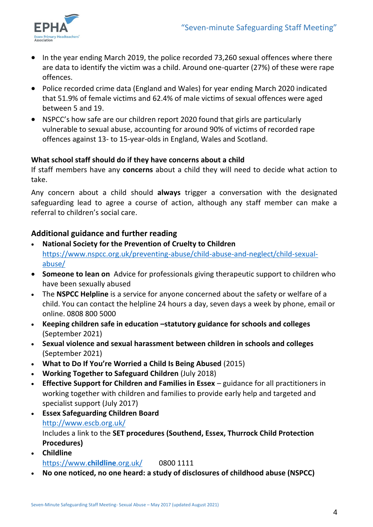

- In the year ending March 2019, the police recorded 73,260 sexual offences where there are data to identify the victim was a child. Around one-quarter (27%) of these were rape offences.
- Police recorded crime data (England and Wales) for year ending March 2020 indicated that 51.9% of female victims and 62.4% of male victims of sexual offences were aged between 5 and 19.
- NSPCC's how safe are our children report 2020 found that girls are particularly vulnerable to sexual abuse, accounting for around 90% of victims of recorded rape offences against 13- to 15-year-olds in England, Wales and Scotland.

#### **What school staff should do if they have concerns about a child**

If staff members have any **concerns** about a child they will need to decide what action to take.

Any concern about a child should **always** trigger a conversation with the designated safeguarding lead to agree a course of action, although any staff member can make a referral to children's social care.

# **Additional guidance and further reading**

- **National Society for the Prevention of Cruelty to Children** [https://www.nspcc.org.uk/preventing-abuse/child-abuse-and-neglect/child-sexual](https://www.nspcc.org.uk/preventing-abuse/child-abuse-and-neglect/child-sexual-abuse/)[abuse/](https://www.nspcc.org.uk/preventing-abuse/child-abuse-and-neglect/child-sexual-abuse/)
- **Someone to lean on** Advice for professionals giving therapeutic support to children who have been sexually abused
- The **NSPCC Helpline** is a service for anyone concerned about the safety or welfare of a child. You can contact the helpline 24 hours a day, seven days a week by phone, email or online. 0808 800 5000
- **Keeping children safe in education –statutory guidance for schools and colleges**  (September 2021)
- **Sexual violence and sexual harassment between children in schools and colleges**  (September 2021)
- **What to Do If You're Worried a Child Is Being Abused** (2015)
- **Working Together to Safeguard Children** (July 2018)
- **Effective Support for Children and Families in Essex**  guidance for all practitioners in working together with children and families to provide early help and targeted and specialist support (July 2017)
- **Essex Safeguarding Children Board** <http://www.escb.org.uk/> Includes a link to the **SET procedures (Southend, Essex, Thurrock Child Protection Procedures)**
- **Childline** [https://www.](https://www.childline.org.uk/)**childline**.org.uk/ 0800 1111
- **No one noticed, no one heard: a study of disclosures of childhood abuse (NSPCC)**